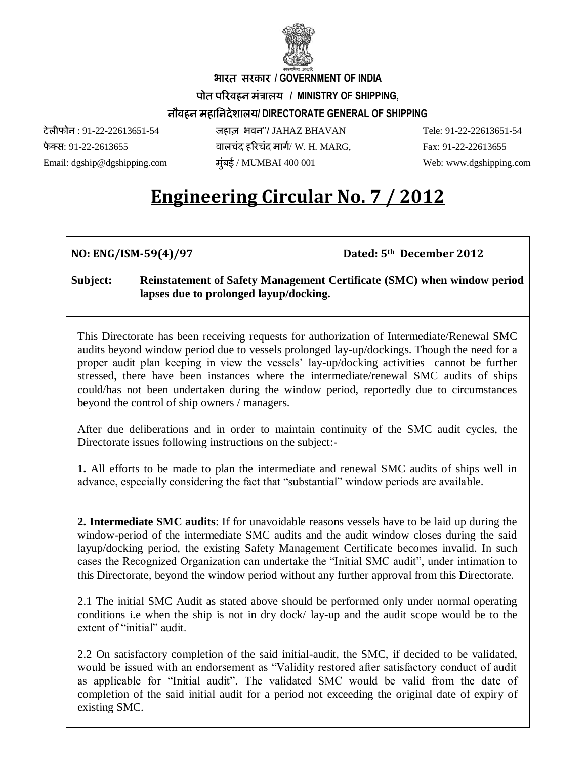

 **/ GOVERNMENT OF INDIA**

पोत परिवहन मंत्रालय / MINISTRY OF SHIPPING,

## **/ DIRECTORATE GENERAL OF SHIPPING**

: 91-22-22613651-54 ''/ JAHAZ BHAVAN Tele: 91-22-22613651-54 : 91-22-2613655 / W. H. MARG, Fax: 91-22-22613655 Email: [dgship@dgshipping.com](mailto:dgship@dgshipping.com) *मुंबई / MUMBAI 400 001* Web: [www.dgshipping.com](http://www.dgshipping.com/)

## **Engineering Circular No. 7 / 2012**

**NO: ENG/ISM-59(4)/97 Dated: 5th December 2012**

## **Subject: Reinstatement of Safety Management Certificate (SMC) when window period lapses due to prolonged layup/docking.**

This Directorate has been receiving requests for authorization of Intermediate/Renewal SMC audits beyond window period due to vessels prolonged lay-up/dockings. Though the need for a proper audit plan keeping in view the vessels' lay-up/docking activities cannot be further stressed, there have been instances where the intermediate/renewal SMC audits of ships could/has not been undertaken during the window period, reportedly due to circumstances beyond the control of ship owners / managers.

After due deliberations and in order to maintain continuity of the SMC audit cycles, the Directorate issues following instructions on the subject:-

**1.** All efforts to be made to plan the intermediate and renewal SMC audits of ships well in advance, especially considering the fact that "substantial" window periods are available.

**2. Intermediate SMC audits**: If for unavoidable reasons vessels have to be laid up during the window-period of the intermediate SMC audits and the audit window closes during the said layup/docking period, the existing Safety Management Certificate becomes invalid. In such cases the Recognized Organization can undertake the "Initial SMC audit", under intimation to this Directorate, beyond the window period without any further approval from this Directorate.

2.1 The initial SMC Audit as stated above should be performed only under normal operating conditions i.e when the ship is not in dry dock/ lay-up and the audit scope would be to the extent of "initial" audit.

2.2 On satisfactory completion of the said initial-audit, the SMC, if decided to be validated, would be issued with an endorsement as "Validity restored after satisfactory conduct of audit as applicable for "Initial audit". The validated SMC would be valid from the date of completion of the said initial audit for a period not exceeding the original date of expiry of existing SMC.